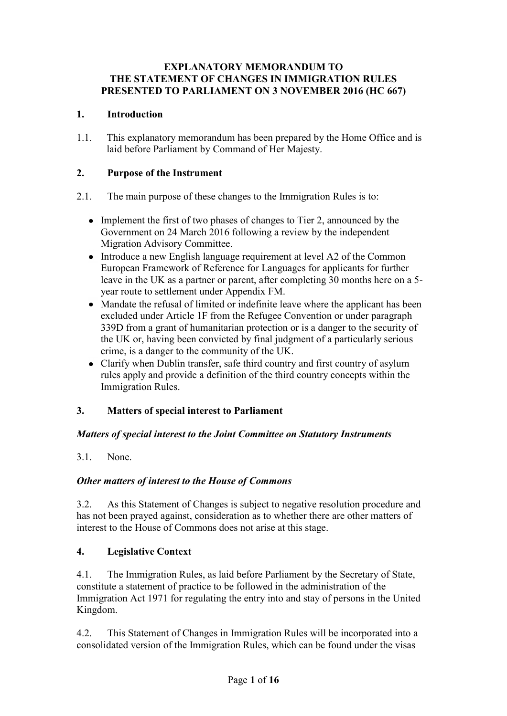#### **EXPLANATORY MEMORANDUM TO THE STATEMENT OF CHANGES IN IMMIGRATION RULES PRESENTED TO PARLIAMENT ON 3 NOVEMBER 2016 (HC 667)**

#### **1. Introduction**

1.1. This explanatory memorandum has been prepared by the Home Office and is laid before Parliament by Command of Her Majesty.

### **2. Purpose of the Instrument**

- 2.1. The main purpose of these changes to the Immigration Rules is to:
	- Implement the first of two phases of changes to Tier 2, announced by the Government on 24 March 2016 following a review by the independent Migration Advisory Committee.
	- Introduce a new English language requirement at level A2 of the Common European Framework of Reference for Languages for applicants for further leave in the UK as a partner or parent, after completing 30 months here on a 5 year route to settlement under Appendix FM.
	- Mandate the refusal of limited or indefinite leave where the applicant has been excluded under Article 1F from the Refugee Convention or under paragraph 339D from a grant of humanitarian protection or is a danger to the security of the UK or, having been convicted by final judgment of a particularly serious crime, is a danger to the community of the UK.
	- Clarify when Dublin transfer, safe third country and first country of asylum rules apply and provide a definition of the third country concepts within the Immigration Rules.

### **3. Matters of special interest to Parliament**

#### *Matters of special interest to the Joint Committee on Statutory Instruments*

#### 3.1. None.

#### *Other matters of interest to the House of Commons*

3.2. As this Statement of Changes is subject to negative resolution procedure and has not been prayed against, consideration as to whether there are other matters of interest to the House of Commons does not arise at this stage.

#### **4. Legislative Context**

4.1. The Immigration Rules, as laid before Parliament by the Secretary of State, constitute a statement of practice to be followed in the administration of the Immigration Act 1971 for regulating the entry into and stay of persons in the United Kingdom.

4.2. This Statement of Changes in Immigration Rules will be incorporated into a consolidated version of the Immigration Rules, which can be found under the visas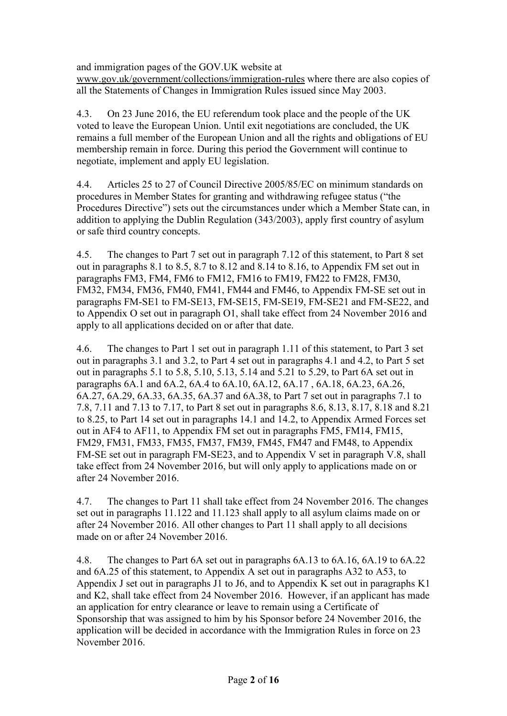and immigration pages of the GOV.UK website at

[www.gov.uk/government/collections/immigration-rules](http://www.gov.uk/government/collections/immigration-rules) where there are also copies of all the Statements of Changes in Immigration Rules issued since May 2003.

4.3. On 23 June 2016, the EU referendum took place and the people of the UK voted to leave the European Union. Until exit negotiations are concluded, the UK remains a full member of the European Union and all the rights and obligations of EU membership remain in force. During this period the Government will continue to negotiate, implement and apply EU legislation.

4.4. Articles 25 to 27 of Council Directive 2005/85/EC on minimum standards on procedures in Member States for granting and withdrawing refugee status ("the Procedures Directive") sets out the circumstances under which a Member State can, in addition to applying the Dublin Regulation (343/2003), apply first country of asylum or safe third country concepts.

4.5. The changes to Part 7 set out in paragraph 7.12 of this statement, to Part 8 set out in paragraphs 8.1 to 8.5, 8.7 to 8.12 and 8.14 to 8.16, to Appendix FM set out in paragraphs FM3, FM4, FM6 to FM12, FM16 to FM19, FM22 to FM28, FM30, FM32, FM34, FM36, FM40, FM41, FM44 and FM46, to Appendix FM-SE set out in paragraphs FM-SE1 to FM-SE13, FM-SE15, FM-SE19, FM-SE21 and FM-SE22, and to Appendix O set out in paragraph O1, shall take effect from 24 November 2016 and apply to all applications decided on or after that date.

4.6. The changes to Part 1 set out in paragraph 1.11 of this statement, to Part 3 set out in paragraphs 3.1 and 3.2, to Part 4 set out in paragraphs 4.1 and 4.2, to Part 5 set out in paragraphs 5.1 to 5.8, 5.10, 5.13, 5.14 and 5.21 to 5.29, to Part 6A set out in paragraphs 6A.1 and 6A.2, 6A.4 to 6A.10, 6A.12, 6A.17 , 6A.18, 6A.23, 6A.26, 6A.27, 6A.29, 6A.33, 6A.35, 6A.37 and 6A.38, to Part 7 set out in paragraphs 7.1 to 7.8, 7.11 and 7.13 to 7.17, to Part 8 set out in paragraphs 8.6, 8.13, 8.17, 8.18 and 8.21 to 8.25, to Part 14 set out in paragraphs 14.1 and 14.2, to Appendix Armed Forces set out in AF4 to AF11, to Appendix FM set out in paragraphs FM5, FM14, FM15, FM29, FM31, FM33, FM35, FM37, FM39, FM45, FM47 and FM48, to Appendix FM-SE set out in paragraph FM-SE23, and to Appendix V set in paragraph V.8, shall take effect from 24 November 2016, but will only apply to applications made on or after 24 November 2016.

4.7. The changes to Part 11 shall take effect from 24 November 2016. The changes set out in paragraphs 11.122 and 11.123 shall apply to all asylum claims made on or after 24 November 2016. All other changes to Part 11 shall apply to all decisions made on or after 24 November 2016.

4.8. The changes to Part 6A set out in paragraphs 6A.13 to 6A.16, 6A.19 to 6A.22 and 6A.25 of this statement, to Appendix A set out in paragraphs A32 to A53, to Appendix J set out in paragraphs J1 to J6, and to Appendix K set out in paragraphs K1 and K2, shall take effect from 24 November 2016. However, if an applicant has made an application for entry clearance or leave to remain using a Certificate of Sponsorship that was assigned to him by his Sponsor before 24 November 2016, the application will be decided in accordance with the Immigration Rules in force on 23 November 2016.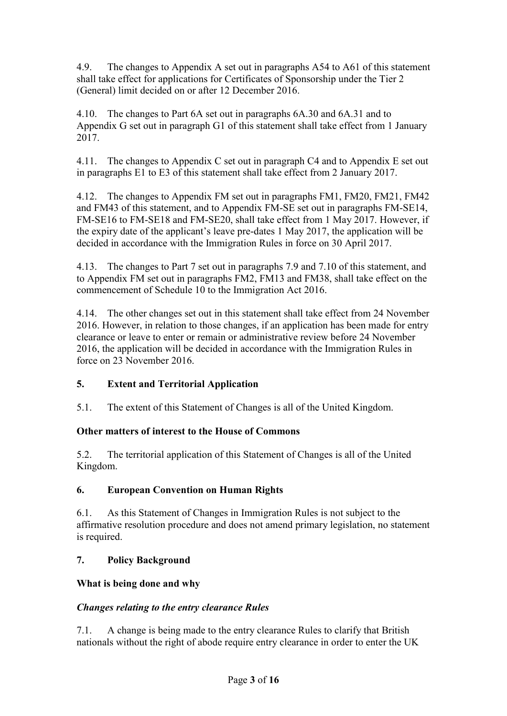4.9. The changes to Appendix A set out in paragraphs A54 to A61 of this statement shall take effect for applications for Certificates of Sponsorship under the Tier 2 (General) limit decided on or after 12 December 2016.

4.10. The changes to Part 6A set out in paragraphs 6A.30 and 6A.31 and to Appendix G set out in paragraph G1 of this statement shall take effect from 1 January 2017.

4.11. The changes to Appendix C set out in paragraph C4 and to Appendix E set out in paragraphs E1 to E3 of this statement shall take effect from 2 January 2017.

4.12. The changes to Appendix FM set out in paragraphs FM1, FM20, FM21, FM42 and FM43 of this statement, and to Appendix FM-SE set out in paragraphs FM-SE14, FM-SE16 to FM-SE18 and FM-SE20, shall take effect from 1 May 2017. However, if the expiry date of the applicant"s leave pre-dates 1 May 2017, the application will be decided in accordance with the Immigration Rules in force on 30 April 2017.

4.13. The changes to Part 7 set out in paragraphs 7.9 and 7.10 of this statement, and to Appendix FM set out in paragraphs FM2, FM13 and FM38, shall take effect on the commencement of Schedule 10 to the Immigration Act 2016.

4.14. The other changes set out in this statement shall take effect from 24 November 2016. However, in relation to those changes, if an application has been made for entry clearance or leave to enter or remain or administrative review before 24 November 2016, the application will be decided in accordance with the Immigration Rules in force on 23 November 2016.

# **5. Extent and Territorial Application**

5.1. The extent of this Statement of Changes is all of the United Kingdom.

# **Other matters of interest to the House of Commons**

5.2. The territorial application of this Statement of Changes is all of the United Kingdom.

# **6. European Convention on Human Rights**

6.1. As this Statement of Changes in Immigration Rules is not subject to the affirmative resolution procedure and does not amend primary legislation, no statement is required.

# **7. Policy Background**

# **What is being done and why**

#### *Changes relating to the entry clearance Rules*

7.1. A change is being made to the entry clearance Rules to clarify that British nationals without the right of abode require entry clearance in order to enter the UK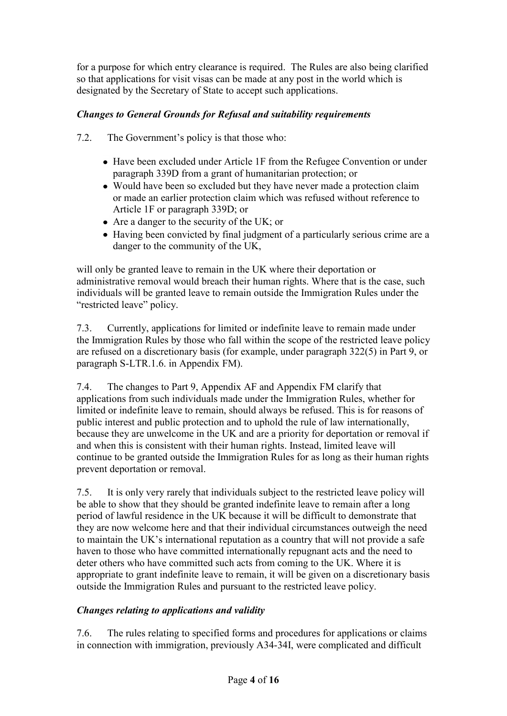for a purpose for which entry clearance is required. The Rules are also being clarified so that applications for visit visas can be made at any post in the world which is designated by the Secretary of State to accept such applications.

# *Changes to General Grounds for Refusal and suitability requirements*

- 7.2. The Government"s policy is that those who:
	- Have been excluded under Article 1F from the Refugee Convention or under paragraph 339D from a grant of humanitarian protection; or
	- Would have been so excluded but they have never made a protection claim or made an earlier protection claim which was refused without reference to Article 1F or paragraph 339D; or
	- Are a danger to the security of the UK; or
	- Having been convicted by final judgment of a particularly serious crime are a danger to the community of the UK,

will only be granted leave to remain in the UK where their deportation or administrative removal would breach their human rights. Where that is the case, such individuals will be granted leave to remain outside the Immigration Rules under the "restricted leave" policy.

7.3. Currently, applications for limited or indefinite leave to remain made under the Immigration Rules by those who fall within the scope of the restricted leave policy are refused on a discretionary basis (for example, under paragraph 322(5) in Part 9, or paragraph S-LTR.1.6. in Appendix FM).

7.4. The changes to Part 9, Appendix AF and Appendix FM clarify that applications from such individuals made under the Immigration Rules, whether for limited or indefinite leave to remain, should always be refused. This is for reasons of public interest and public protection and to uphold the rule of law internationally, because they are unwelcome in the UK and are a priority for deportation or removal if and when this is consistent with their human rights. Instead, limited leave will continue to be granted outside the Immigration Rules for as long as their human rights prevent deportation or removal.

7.5. It is only very rarely that individuals subject to the restricted leave policy will be able to show that they should be granted indefinite leave to remain after a long period of lawful residence in the UK because it will be difficult to demonstrate that they are now welcome here and that their individual circumstances outweigh the need to maintain the UK"s international reputation as a country that will not provide a safe haven to those who have committed internationally repugnant acts and the need to deter others who have committed such acts from coming to the UK. Where it is appropriate to grant indefinite leave to remain, it will be given on a discretionary basis outside the Immigration Rules and pursuant to the restricted leave policy.

# *Changes relating to applications and validity*

7.6. The rules relating to specified forms and procedures for applications or claims in connection with immigration, previously A34-34I, were complicated and difficult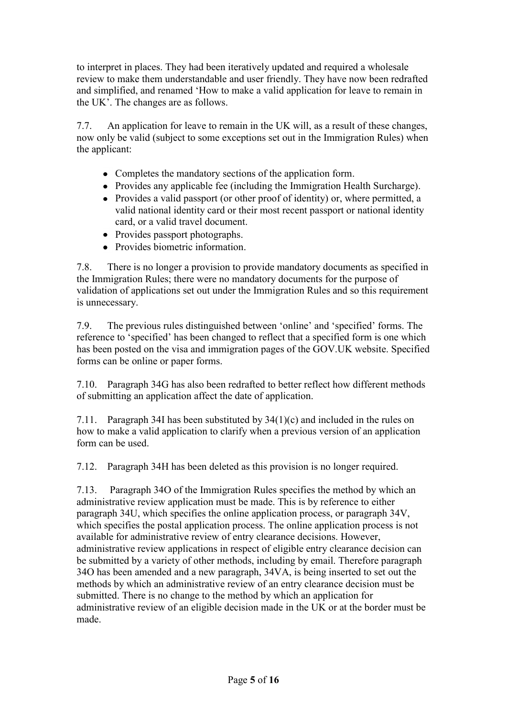to interpret in places. They had been iteratively updated and required a wholesale review to make them understandable and user friendly. They have now been redrafted and simplified, and renamed "How to make a valid application for leave to remain in the UK". The changes are as follows.

7.7. An application for leave to remain in the UK will, as a result of these changes, now only be valid (subject to some exceptions set out in the Immigration Rules) when the applicant:

- Completes the mandatory sections of the application form.
- Provides any applicable fee (including the Immigration Health Surcharge).
- Provides a valid passport (or other proof of identity) or, where permitted, a valid national identity card or their most recent passport or national identity card, or a valid travel document.
- Provides passport photographs.
- Provides biometric information.

7.8. There is no longer a provision to provide mandatory documents as specified in the Immigration Rules; there were no mandatory documents for the purpose of validation of applications set out under the Immigration Rules and so this requirement is unnecessary.

7.9. The previous rules distinguished between "online" and "specified" forms. The reference to "specified" has been changed to reflect that a specified form is one which has been posted on the visa and immigration pages of the GOV.UK website. Specified forms can be online or paper forms.

7.10. Paragraph 34G has also been redrafted to better reflect how different methods of submitting an application affect the date of application.

7.11. Paragraph 34I has been substituted by 34(1)(c) and included in the rules on how to make a valid application to clarify when a previous version of an application form can be used.

7.12. Paragraph 34H has been deleted as this provision is no longer required.

7.13. Paragraph 34O of the Immigration Rules specifies the method by which an administrative review application must be made. This is by reference to either paragraph 34U, which specifies the online application process, or paragraph 34V, which specifies the postal application process. The online application process is not available for administrative review of entry clearance decisions. However, administrative review applications in respect of eligible entry clearance decision can be submitted by a variety of other methods, including by email. Therefore paragraph 34O has been amended and a new paragraph, 34VA, is being inserted to set out the methods by which an administrative review of an entry clearance decision must be submitted. There is no change to the method by which an application for administrative review of an eligible decision made in the UK or at the border must be made.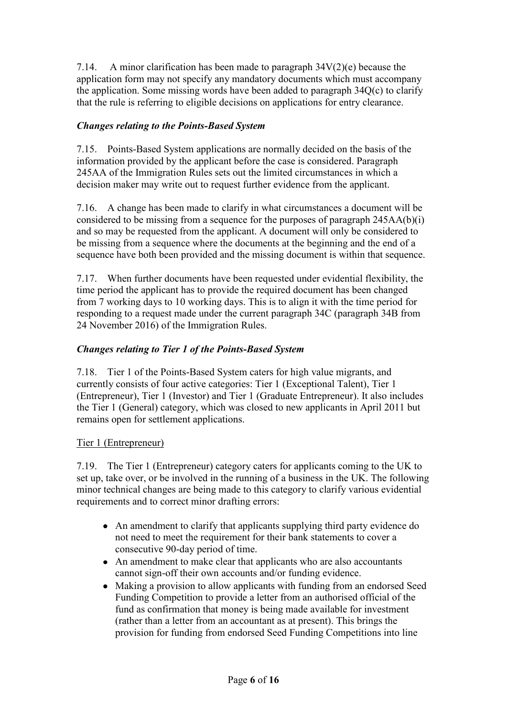7.14. A minor clarification has been made to paragraph 34V(2)(e) because the application form may not specify any mandatory documents which must accompany the application. Some missing words have been added to paragraph  $34O(c)$  to clarify that the rule is referring to eligible decisions on applications for entry clearance.

### *Changes relating to the Points-Based System*

7.15. Points-Based System applications are normally decided on the basis of the information provided by the applicant before the case is considered. Paragraph 245AA of the Immigration Rules sets out the limited circumstances in which a decision maker may write out to request further evidence from the applicant.

7.16. A change has been made to clarify in what circumstances a document will be considered to be missing from a sequence for the purposes of paragraph 245AA(b)(i) and so may be requested from the applicant. A document will only be considered to be missing from a sequence where the documents at the beginning and the end of a sequence have both been provided and the missing document is within that sequence.

7.17. When further documents have been requested under evidential flexibility, the time period the applicant has to provide the required document has been changed from 7 working days to 10 working days. This is to align it with the time period for responding to a request made under the current paragraph 34C (paragraph 34B from 24 November 2016) of the Immigration Rules.

### *Changes relating to Tier 1 of the Points-Based System*

7.18. Tier 1 of the Points-Based System caters for high value migrants, and currently consists of four active categories: Tier 1 (Exceptional Talent), Tier 1 (Entrepreneur), Tier 1 (Investor) and Tier 1 (Graduate Entrepreneur). It also includes the Tier 1 (General) category, which was closed to new applicants in April 2011 but remains open for settlement applications.

#### Tier 1 (Entrepreneur)

7.19. The Tier 1 (Entrepreneur) category caters for applicants coming to the UK to set up, take over, or be involved in the running of a business in the UK. The following minor technical changes are being made to this category to clarify various evidential requirements and to correct minor drafting errors:

- An amendment to clarify that applicants supplying third party evidence do not need to meet the requirement for their bank statements to cover a consecutive 90-day period of time.
- An amendment to make clear that applicants who are also accountants cannot sign-off their own accounts and/or funding evidence.
- Making a provision to allow applicants with funding from an endorsed Seed Funding Competition to provide a letter from an authorised official of the fund as confirmation that money is being made available for investment (rather than a letter from an accountant as at present). This brings the provision for funding from endorsed Seed Funding Competitions into line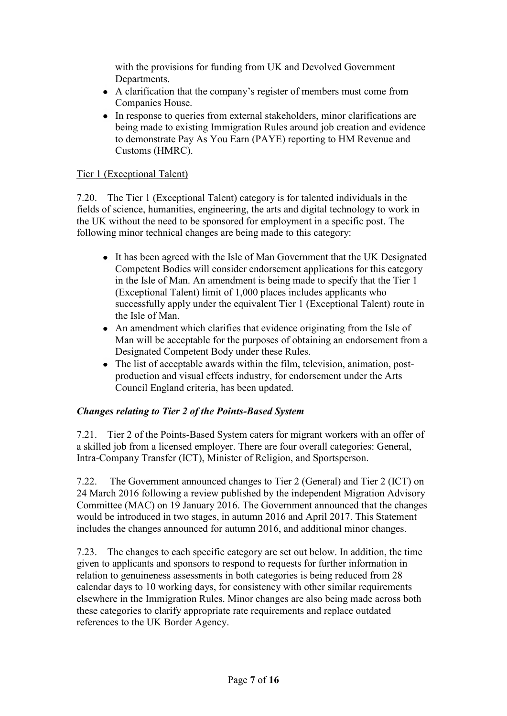with the provisions for funding from UK and Devolved Government Departments.

- A clarification that the company"s register of members must come from Companies House.
- In response to queries from external stakeholders, minor clarifications are being made to existing Immigration Rules around job creation and evidence to demonstrate Pay As You Earn (PAYE) reporting to HM Revenue and Customs (HMRC).

### Tier 1 (Exceptional Talent)

7.20. The Tier 1 (Exceptional Talent) category is for talented individuals in the fields of science, humanities, engineering, the arts and digital technology to work in the UK without the need to be sponsored for employment in a specific post. The following minor technical changes are being made to this category:

- It has been agreed with the Isle of Man Government that the UK Designated Competent Bodies will consider endorsement applications for this category in the Isle of Man. An amendment is being made to specify that the Tier 1 (Exceptional Talent) limit of 1,000 places includes applicants who successfully apply under the equivalent Tier 1 (Exceptional Talent) route in the Isle of Man.
- An amendment which clarifies that evidence originating from the Isle of Man will be acceptable for the purposes of obtaining an endorsement from a Designated Competent Body under these Rules.
- The list of acceptable awards within the film, television, animation, postproduction and visual effects industry, for endorsement under the Arts Council England criteria, has been updated.

#### *Changes relating to Tier 2 of the Points-Based System*

7.21. Tier 2 of the Points-Based System caters for migrant workers with an offer of a skilled job from a licensed employer. There are four overall categories: General, Intra-Company Transfer (ICT), Minister of Religion, and Sportsperson.

7.22. The Government announced changes to Tier 2 (General) and Tier 2 (ICT) on 24 March 2016 following a review published by the independent Migration Advisory Committee (MAC) on 19 January 2016. The Government announced that the changes would be introduced in two stages, in autumn 2016 and April 2017. This Statement includes the changes announced for autumn 2016, and additional minor changes.

7.23. The changes to each specific category are set out below. In addition, the time given to applicants and sponsors to respond to requests for further information in relation to genuineness assessments in both categories is being reduced from 28 calendar days to 10 working days, for consistency with other similar requirements elsewhere in the Immigration Rules. Minor changes are also being made across both these categories to clarify appropriate rate requirements and replace outdated references to the UK Border Agency.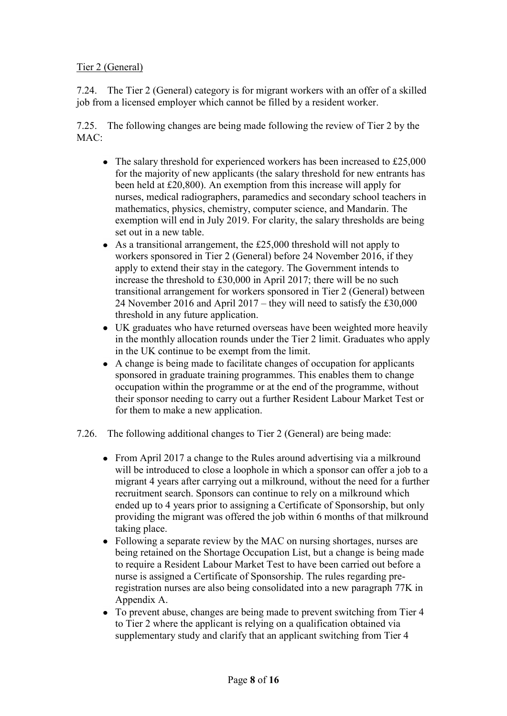### Tier 2 (General)

7.24. The Tier 2 (General) category is for migrant workers with an offer of a skilled job from a licensed employer which cannot be filled by a resident worker.

7.25. The following changes are being made following the review of Tier 2 by the  $MAC:$ 

- The salary threshold for experienced workers has been increased to £25,000 for the majority of new applicants (the salary threshold for new entrants has been held at £20,800). An exemption from this increase will apply for nurses, medical radiographers, paramedics and secondary school teachers in mathematics, physics, chemistry, computer science, and Mandarin. The exemption will end in July 2019. For clarity, the salary thresholds are being set out in a new table.
- As a transitional arrangement, the £25,000 threshold will not apply to workers sponsored in Tier 2 (General) before 24 November 2016, if they apply to extend their stay in the category. The Government intends to increase the threshold to £30,000 in April 2017; there will be no such transitional arrangement for workers sponsored in Tier 2 (General) between 24 November 2016 and April 2017 – they will need to satisfy the £30,000 threshold in any future application.
- UK graduates who have returned overseas have been weighted more heavily in the monthly allocation rounds under the Tier 2 limit. Graduates who apply in the UK continue to be exempt from the limit.
- A change is being made to facilitate changes of occupation for applicants sponsored in graduate training programmes. This enables them to change occupation within the programme or at the end of the programme, without their sponsor needing to carry out a further Resident Labour Market Test or for them to make a new application.
- 7.26. The following additional changes to Tier 2 (General) are being made:
	- From April 2017 a change to the Rules around advertising via a milkround will be introduced to close a loophole in which a sponsor can offer a job to a migrant 4 years after carrying out a milkround, without the need for a further recruitment search. Sponsors can continue to rely on a milkround which ended up to 4 years prior to assigning a Certificate of Sponsorship, but only providing the migrant was offered the job within 6 months of that milkround taking place.
	- Following a separate review by the MAC on nursing shortages, nurses are being retained on the Shortage Occupation List, but a change is being made to require a Resident Labour Market Test to have been carried out before a nurse is assigned a Certificate of Sponsorship. The rules regarding preregistration nurses are also being consolidated into a new paragraph 77K in Appendix A.
	- To prevent abuse, changes are being made to prevent switching from Tier 4 to Tier 2 where the applicant is relying on a qualification obtained via supplementary study and clarify that an applicant switching from Tier 4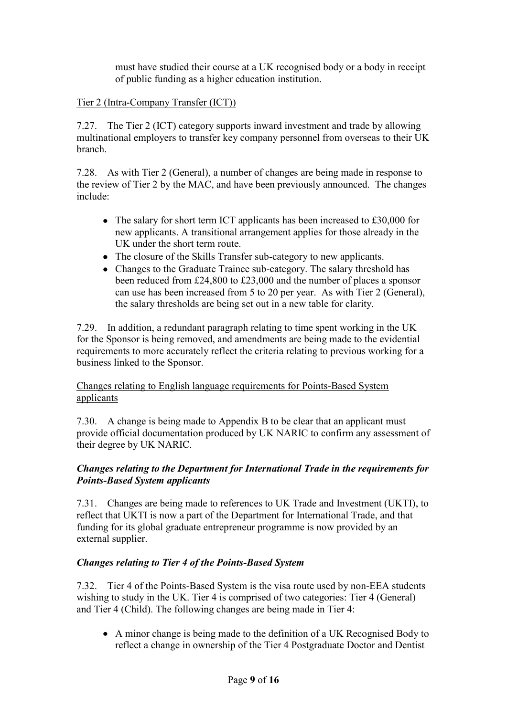must have studied their course at a UK recognised body or a body in receipt of public funding as a higher education institution.

### Tier 2 (Intra-Company Transfer (ICT))

7.27. The Tier 2 (ICT) category supports inward investment and trade by allowing multinational employers to transfer key company personnel from overseas to their UK branch.

7.28. As with Tier 2 (General), a number of changes are being made in response to the review of Tier 2 by the MAC, and have been previously announced. The changes include:

- The salary for short term ICT applicants has been increased to £30,000 for new applicants. A transitional arrangement applies for those already in the UK under the short term route.
- The closure of the Skills Transfer sub-category to new applicants.
- Changes to the Graduate Trainee sub-category. The salary threshold has been reduced from £24,800 to £23,000 and the number of places a sponsor can use has been increased from 5 to 20 per year. As with Tier 2 (General), the salary thresholds are being set out in a new table for clarity.

7.29. In addition, a redundant paragraph relating to time spent working in the UK for the Sponsor is being removed, and amendments are being made to the evidential requirements to more accurately reflect the criteria relating to previous working for a business linked to the Sponsor.

Changes relating to English language requirements for Points-Based System applicants

7.30. A change is being made to Appendix B to be clear that an applicant must provide official documentation produced by UK NARIC to confirm any assessment of their degree by UK NARIC.

#### *Changes relating to the Department for International Trade in the requirements for Points-Based System applicants*

7.31. Changes are being made to references to UK Trade and Investment (UKTI), to reflect that UKTI is now a part of the Department for International Trade, and that funding for its global graduate entrepreneur programme is now provided by an external supplier.

# *Changes relating to Tier 4 of the Points-Based System*

7.32. Tier 4 of the Points-Based System is the visa route used by non-EEA students wishing to study in the UK. Tier 4 is comprised of two categories: Tier 4 (General) and Tier 4 (Child). The following changes are being made in Tier 4:

A minor change is being made to the definition of a UK Recognised Body to reflect a change in ownership of the Tier 4 Postgraduate Doctor and Dentist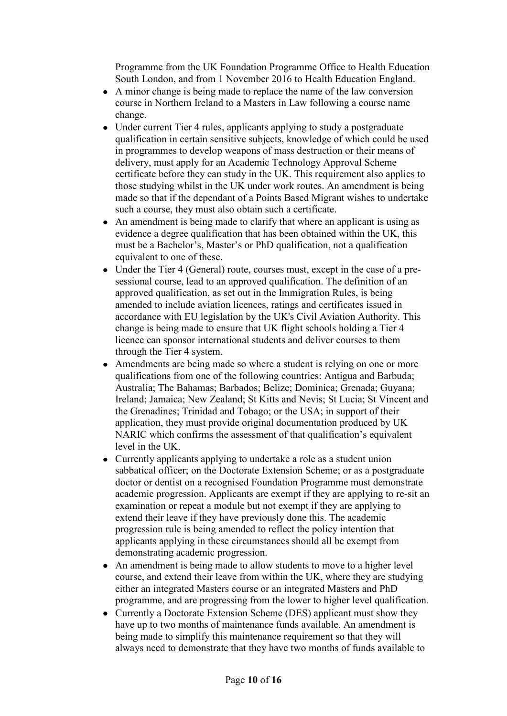Programme from the UK Foundation Programme Office to Health Education South London, and from 1 November 2016 to Health Education England.

- A minor change is being made to replace the name of the law conversion course in Northern Ireland to a Masters in Law following a course name change.
- Under current Tier 4 rules, applicants applying to study a postgraduate qualification in certain sensitive subjects, knowledge of which could be used in programmes to develop weapons of mass destruction or their means of delivery, must apply for an Academic Technology Approval Scheme certificate before they can study in the UK. This requirement also applies to those studying whilst in the UK under work routes. An amendment is being made so that if the dependant of a Points Based Migrant wishes to undertake such a course, they must also obtain such a certificate.
- An amendment is being made to clarify that where an applicant is using as evidence a degree qualification that has been obtained within the UK, this must be a Bachelor's, Master's or PhD qualification, not a qualification equivalent to one of these.
- Under the Tier 4 (General) route, courses must, except in the case of a presessional course, lead to an approved qualification. The definition of an approved qualification, as set out in the Immigration Rules, is being amended to include aviation licences, ratings and certificates issued in accordance with EU legislation by the UK's Civil Aviation Authority. This change is being made to ensure that UK flight schools holding a Tier 4 licence can sponsor international students and deliver courses to them through the Tier 4 system.
- Amendments are being made so where a student is relying on one or more qualifications from one of the following countries: Antigua and Barbuda; Australia; The Bahamas; Barbados; Belize; Dominica; Grenada; Guyana; Ireland; Jamaica; New Zealand; St Kitts and Nevis; St Lucia; St Vincent and the Grenadines; Trinidad and Tobago; or the USA; in support of their application, they must provide original documentation produced by UK NARIC which confirms the assessment of that qualification's equivalent level in the UK.
- Currently applicants applying to undertake a role as a student union sabbatical officer; on the Doctorate Extension Scheme; or as a postgraduate doctor or dentist on a recognised Foundation Programme must demonstrate academic progression. Applicants are exempt if they are applying to re-sit an examination or repeat a module but not exempt if they are applying to extend their leave if they have previously done this. The academic progression rule is being amended to reflect the policy intention that applicants applying in these circumstances should all be exempt from demonstrating academic progression.
- An amendment is being made to allow students to move to a higher level course, and extend their leave from within the UK, where they are studying either an integrated Masters course or an integrated Masters and PhD programme, and are progressing from the lower to higher level qualification.
- Currently a Doctorate Extension Scheme (DES) applicant must show they have up to two months of maintenance funds available. An amendment is being made to simplify this maintenance requirement so that they will always need to demonstrate that they have two months of funds available to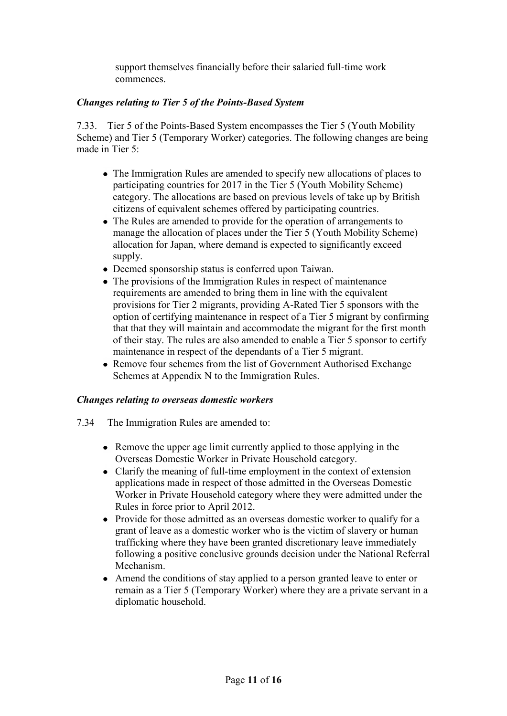support themselves financially before their salaried full-time work commences.

#### *Changes relating to Tier 5 of the Points-Based System*

7.33. Tier 5 of the Points-Based System encompasses the Tier 5 (Youth Mobility Scheme) and Tier 5 (Temporary Worker) categories. The following changes are being made in Tier 5:

- The Immigration Rules are amended to specify new allocations of places to participating countries for 2017 in the Tier 5 (Youth Mobility Scheme) category. The allocations are based on previous levels of take up by British citizens of equivalent schemes offered by participating countries.
- The Rules are amended to provide for the operation of arrangements to manage the allocation of places under the Tier 5 (Youth Mobility Scheme) allocation for Japan, where demand is expected to significantly exceed supply.
- Deemed sponsorship status is conferred upon Taiwan.
- The provisions of the Immigration Rules in respect of maintenance requirements are amended to bring them in line with the equivalent provisions for Tier 2 migrants, providing A-Rated Tier 5 sponsors with the option of certifying maintenance in respect of a Tier 5 migrant by confirming that that they will maintain and accommodate the migrant for the first month of their stay. The rules are also amended to enable a Tier 5 sponsor to certify maintenance in respect of the dependants of a Tier 5 migrant.
- Remove four schemes from the list of Government Authorised Exchange Schemes at Appendix N to the Immigration Rules.

#### *Changes relating to overseas domestic workers*

- 7.34 The Immigration Rules are amended to:
	- Remove the upper age limit currently applied to those applying in the Overseas Domestic Worker in Private Household category.
	- Clarify the meaning of full-time employment in the context of extension applications made in respect of those admitted in the Overseas Domestic Worker in Private Household category where they were admitted under the Rules in force prior to April 2012.
	- Provide for those admitted as an overseas domestic worker to qualify for a grant of leave as a domestic worker who is the victim of slavery or human trafficking where they have been granted discretionary leave immediately following a positive conclusive grounds decision under the National Referral Mechanism.
	- Amend the conditions of stay applied to a person granted leave to enter or remain as a Tier 5 (Temporary Worker) where they are a private servant in a diplomatic household.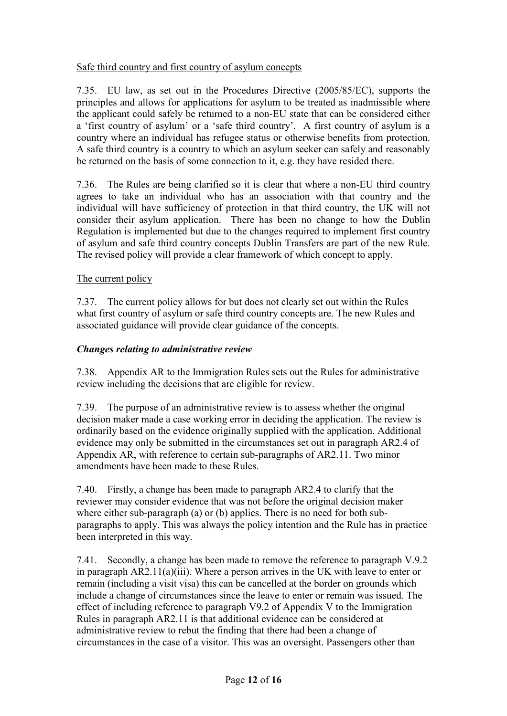### Safe third country and first country of asylum concepts

7.35. EU law, as set out in the Procedures Directive (2005/85/EC), supports the principles and allows for applications for asylum to be treated as inadmissible where the applicant could safely be returned to a non-EU state that can be considered either a 'first country of asylum' or a 'safe third country'. A first country of asylum is a country where an individual has refugee status or otherwise benefits from protection. A safe third country is a country to which an asylum seeker can safely and reasonably be returned on the basis of some connection to it, e.g. they have resided there.

7.36. The Rules are being clarified so it is clear that where a non-EU third country agrees to take an individual who has an association with that country and the individual will have sufficiency of protection in that third country, the UK will not consider their asylum application. There has been no change to how the Dublin Regulation is implemented but due to the changes required to implement first country of asylum and safe third country concepts Dublin Transfers are part of the new Rule. The revised policy will provide a clear framework of which concept to apply.

# The current policy

7.37. The current policy allows for but does not clearly set out within the Rules what first country of asylum or safe third country concepts are. The new Rules and associated guidance will provide clear guidance of the concepts.

#### *Changes relating to administrative review*

7.38. Appendix AR to the Immigration Rules sets out the Rules for administrative review including the decisions that are eligible for review.

7.39. The purpose of an administrative review is to assess whether the original decision maker made a case working error in deciding the application. The review is ordinarily based on the evidence originally supplied with the application. Additional evidence may only be submitted in the circumstances set out in paragraph AR2.4 of Appendix AR, with reference to certain sub-paragraphs of AR2.11. Two minor amendments have been made to these Rules.

7.40. Firstly, a change has been made to paragraph AR2.4 to clarify that the reviewer may consider evidence that was not before the original decision maker where either sub-paragraph (a) or (b) applies. There is no need for both subparagraphs to apply. This was always the policy intention and the Rule has in practice been interpreted in this way.

7.41. Secondly, a change has been made to remove the reference to paragraph V.9.2 in paragraph AR2.11(a)(iii). Where a person arrives in the UK with leave to enter or remain (including a visit visa) this can be cancelled at the border on grounds which include a change of circumstances since the leave to enter or remain was issued. The effect of including reference to paragraph V9.2 of Appendix V to the Immigration Rules in paragraph AR2.11 is that additional evidence can be considered at administrative review to rebut the finding that there had been a change of circumstances in the case of a visitor. This was an oversight. Passengers other than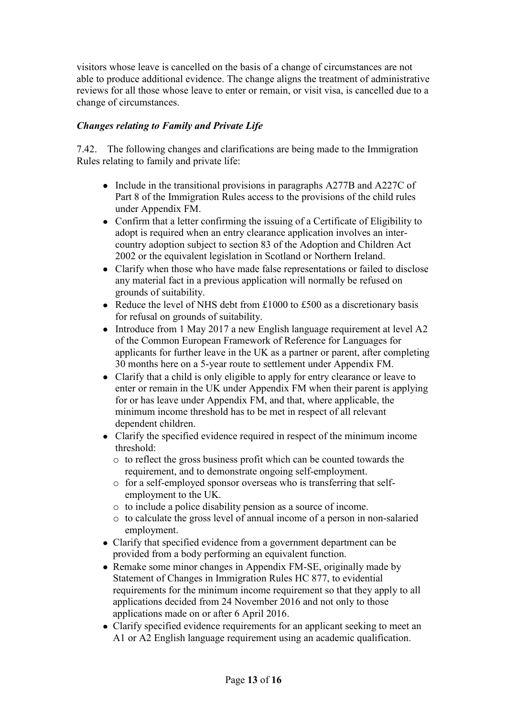visitors whose leave is cancelled on the basis of a change of circumstances are not able to produce additional evidence. The change aligns the treatment of administrative reviews for all those whose leave to enter or remain, or visit visa, is cancelled due to a change of circumstances.

### *Changes relating to Family and Private Life*

7.42. The following changes and clarifications are being made to the Immigration Rules relating to family and private life:

- Include in the transitional provisions in paragraphs A277B and A227C of Part 8 of the Immigration Rules access to the provisions of the child rules under Appendix FM.
- Confirm that a letter confirming the issuing of a Certificate of Eligibility to adopt is required when an entry clearance application involves an intercountry adoption subject to section 83 of the Adoption and Children Act 2002 or the equivalent legislation in Scotland or Northern Ireland.
- Clarify when those who have made false representations or failed to disclose any material fact in a previous application will normally be refused on grounds of suitability.
- Reduce the level of NHS debt from £1000 to £500 as a discretionary basis for refusal on grounds of suitability.
- Introduce from 1 May 2017 a new English language requirement at level A2 of the Common European Framework of Reference for Languages for applicants for further leave in the UK as a partner or parent, after completing 30 months here on a 5-year route to settlement under Appendix FM.
- Clarify that a child is only eligible to apply for entry clearance or leave to enter or remain in the UK under Appendix FM when their parent is applying for or has leave under Appendix FM, and that, where applicable, the minimum income threshold has to be met in respect of all relevant dependent children.
- Clarify the specified evidence required in respect of the minimum income threshold:
	- o to reflect the gross business profit which can be counted towards the requirement, and to demonstrate ongoing self-employment.
	- o for a self-employed sponsor overseas who is transferring that selfemployment to the UK.
	- o to include a police disability pension as a source of income.
	- o to calculate the gross level of annual income of a person in non-salaried employment.
- Clarify that specified evidence from a government department can be provided from a body performing an equivalent function.
- Remake some minor changes in Appendix FM-SE, originally made by Statement of Changes in Immigration Rules HC 877, to evidential requirements for the minimum income requirement so that they apply to all applications decided from 24 November 2016 and not only to those applications made on or after 6 April 2016.
- Clarify specified evidence requirements for an applicant seeking to meet an A1 or A2 English language requirement using an academic qualification.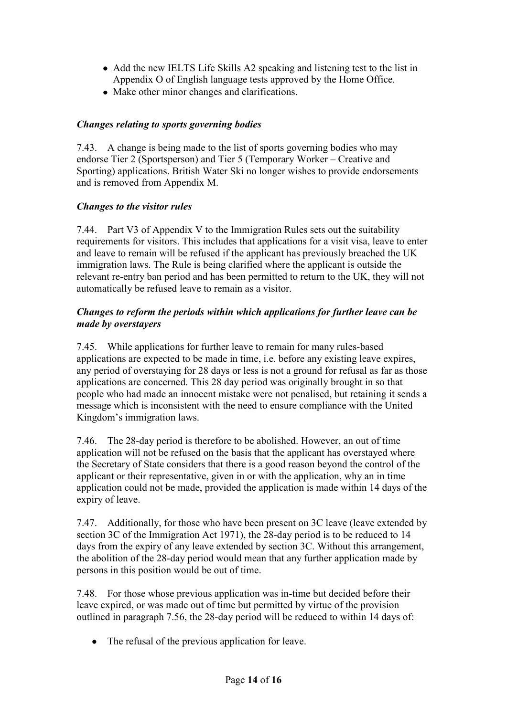- Add the new IELTS Life Skills A2 speaking and listening test to the list in Appendix O of English language tests approved by the Home Office.
- Make other minor changes and clarifications.

# *Changes relating to sports governing bodies*

7.43. A change is being made to the list of sports governing bodies who may endorse Tier 2 (Sportsperson) and Tier 5 (Temporary Worker – Creative and Sporting) applications. British Water Ski no longer wishes to provide endorsements and is removed from Appendix M.

# *Changes to the visitor rules*

7.44. Part V3 of Appendix V to the Immigration Rules sets out the suitability requirements for visitors. This includes that applications for a visit visa, leave to enter and leave to remain will be refused if the applicant has previously breached the UK immigration laws. The Rule is being clarified where the applicant is outside the relevant re-entry ban period and has been permitted to return to the UK, they will not automatically be refused leave to remain as a visitor.

### *Changes to reform the periods within which applications for further leave can be made by overstayers*

7.45. While applications for further leave to remain for many rules-based applications are expected to be made in time, i.e. before any existing leave expires, any period of overstaying for 28 days or less is not a ground for refusal as far as those applications are concerned. This 28 day period was originally brought in so that people who had made an innocent mistake were not penalised, but retaining it sends a message which is inconsistent with the need to ensure compliance with the United Kingdom"s immigration laws.

7.46. The 28-day period is therefore to be abolished. However, an out of time application will not be refused on the basis that the applicant has overstayed where the Secretary of State considers that there is a good reason beyond the control of the applicant or their representative, given in or with the application, why an in time application could not be made, provided the application is made within 14 days of the expiry of leave.

7.47. Additionally, for those who have been present on 3C leave (leave extended by section 3C of the Immigration Act 1971), the 28-day period is to be reduced to 14 days from the expiry of any leave extended by section 3C. Without this arrangement, the abolition of the 28-day period would mean that any further application made by persons in this position would be out of time.

7.48. For those whose previous application was in-time but decided before their leave expired, or was made out of time but permitted by virtue of the provision outlined in paragraph 7.56, the 28-day period will be reduced to within 14 days of:

• The refusal of the previous application for leave.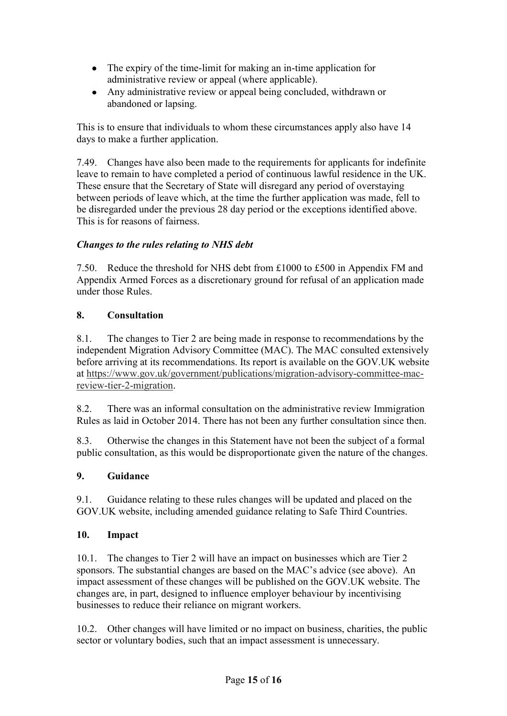- The expiry of the time-limit for making an in-time application for administrative review or appeal (where applicable).
- Any administrative review or appeal being concluded, withdrawn or  $\bullet$ abandoned or lapsing.

This is to ensure that individuals to whom these circumstances apply also have 14 days to make a further application.

7.49. Changes have also been made to the requirements for applicants for indefinite leave to remain to have completed a period of continuous lawful residence in the UK. These ensure that the Secretary of State will disregard any period of overstaying between periods of leave which, at the time the further application was made, fell to be disregarded under the previous 28 day period or the exceptions identified above. This is for reasons of fairness.

# *Changes to the rules relating to NHS debt*

7.50. Reduce the threshold for NHS debt from £1000 to £500 in Appendix FM and Appendix Armed Forces as a discretionary ground for refusal of an application made under those Rules.

# **8. Consultation**

8.1. The changes to Tier 2 are being made in response to recommendations by the independent Migration Advisory Committee (MAC). The MAC consulted extensively before arriving at its recommendations. Its report is available on the GOV.UK website at [https://www.gov.uk/government/publications/migration-advisory-committee-mac](https://www.gov.uk/government/publications/migration-advisory-committee-mac-review-tier-2-migration)[review-tier-2-migration.](https://www.gov.uk/government/publications/migration-advisory-committee-mac-review-tier-2-migration)

8.2. There was an informal consultation on the administrative review Immigration Rules as laid in October 2014. There has not been any further consultation since then.

8.3. Otherwise the changes in this Statement have not been the subject of a formal public consultation, as this would be disproportionate given the nature of the changes.

# **9. Guidance**

9.1. Guidance relating to these rules changes will be updated and placed on the GOV.UK website, including amended guidance relating to Safe Third Countries.

# **10. Impact**

10.1. The changes to Tier 2 will have an impact on businesses which are Tier 2 sponsors. The substantial changes are based on the MAC"s advice (see above). An impact assessment of these changes will be published on the GOV.UK website. The changes are, in part, designed to influence employer behaviour by incentivising businesses to reduce their reliance on migrant workers.

10.2. Other changes will have limited or no impact on business, charities, the public sector or voluntary bodies, such that an impact assessment is unnecessary.